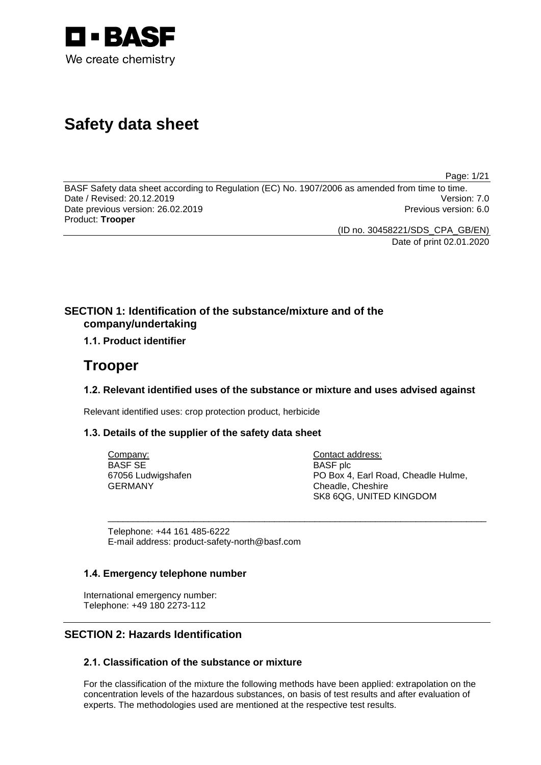

# **Safety data sheet**

Page: 1/21

BASF Safety data sheet according to Regulation (EC) No. 1907/2006 as amended from time to time. Date / Revised: 20.12.2019 Date previous version: 26.02.2019 **Previous version: 6.0** Previous version: 6.0 Product: **Trooper**

(ID no. 30458221/SDS\_CPA\_GB/EN) Date of print 02.01.2020

## **SECTION 1: Identification of the substance/mixture and of the company/undertaking**

## **1.1. Product identifier**

## **Trooper**

## **1.2. Relevant identified uses of the substance or mixture and uses advised against**

\_\_\_\_\_\_\_\_\_\_\_\_\_\_\_\_\_\_\_\_\_\_\_\_\_\_\_\_\_\_\_\_\_\_\_\_\_\_\_\_\_\_\_\_\_\_\_\_\_\_\_\_\_\_\_\_\_\_\_\_\_\_\_\_\_\_\_\_\_\_\_\_\_\_\_

Relevant identified uses: crop protection product, herbicide

## **1.3. Details of the supplier of the safety data sheet**

Company: BASF SE 67056 Ludwigshafen GERMANY

Contact address: BASF plc PO Box 4, Earl Road, Cheadle Hulme, Cheadle, Cheshire SK8 6QG, UNITED KINGDOM

Telephone: +44 161 485-6222 E-mail address: product-safety-north@basf.com

## **1.4. Emergency telephone number**

International emergency number: Telephone: +49 180 2273-112

## **SECTION 2: Hazards Identification**

## **2.1. Classification of the substance or mixture**

For the classification of the mixture the following methods have been applied: extrapolation on the concentration levels of the hazardous substances, on basis of test results and after evaluation of experts. The methodologies used are mentioned at the respective test results.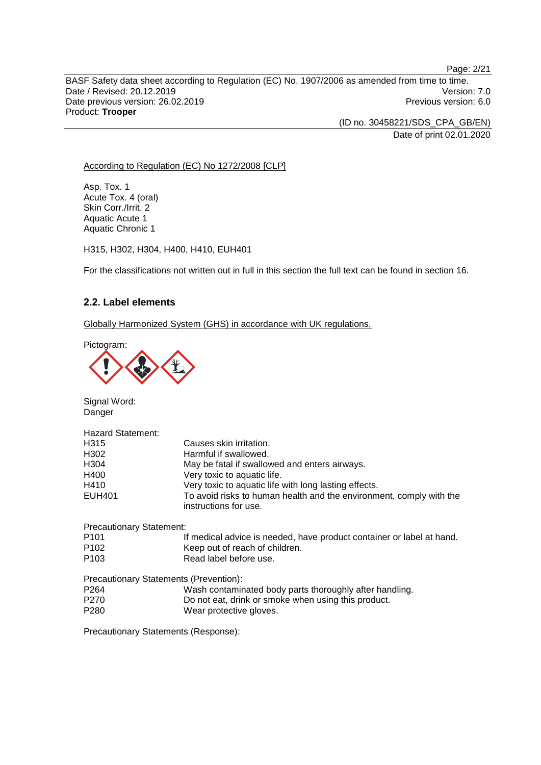Page: 2/21

BASF Safety data sheet according to Regulation (EC) No. 1907/2006 as amended from time to time. Date / Revised: 20.12.2019 Version: 7.0 Date previous version: 26.02.2019 **Previous version: 6.0** Previous version: 6.0 Product: **Trooper**

> (ID no. 30458221/SDS\_CPA\_GB/EN) Date of print 02.01.2020

#### According to Regulation (EC) No 1272/2008 [CLP]

Asp. Tox. 1 Acute Tox. 4 (oral) Skin Corr./Irrit. 2 Aquatic Acute 1 Aquatic Chronic 1

H315, H302, H304, H400, H410, EUH401

For the classifications not written out in full in this section the full text can be found in section 16.

#### **2.2. Label elements**

Globally Harmonized System (GHS) in accordance with UK regulations.

Pictogram:



Signal Word: Danger

| <b>Hazard Statement:</b> |                                                                                              |
|--------------------------|----------------------------------------------------------------------------------------------|
| H315                     | Causes skin irritation.                                                                      |
| H302                     | Harmful if swallowed.                                                                        |
| H304                     | May be fatal if swallowed and enters airways.                                                |
| H400                     | Very toxic to aquatic life.                                                                  |
| H410                     | Very toxic to aquatic life with long lasting effects.                                        |
| <b>EUH401</b>            | To avoid risks to human health and the environment, comply with the<br>instructions for use. |

Precautionary Statement: P101 If medical advice is needed, have product container or label at hand. P102 Keep out of reach of children. P103 Read label before use.

Precautionary Statements (Prevention): P264 Wash contaminated body parts thoroughly after handling.<br>P270 Do not eat, drink or smoke when using this product. P270 Do not eat, drink or smoke when using this product.<br>P280 Wear protective gloves. Wear protective gloves.

Precautionary Statements (Response):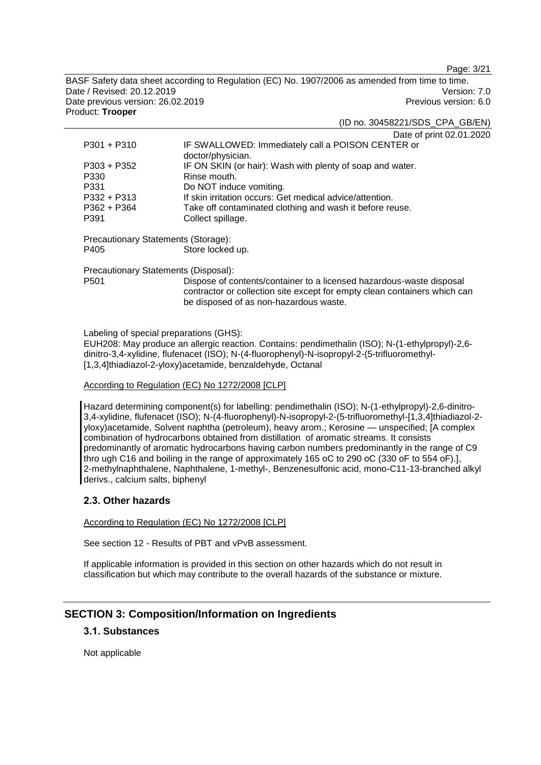Page: 3/21

BASF Safety data sheet according to Regulation (EC) No. 1907/2006 as amended from time to time. Date / Revised: 20.12.2019 Version: 7.0 Date previous version: 26.02.2019 **Previous version: 6.0** Previous version: 6.0 Product: **Trooper**

(ID no. 30458221/SDS\_CPA\_GB/EN)

Date of print 02.01.2020

| $P301 + P310$                        | IF SWALLOWED: Immediately call a POISON CENTER or<br>doctor/physician.                                                                                                                      |  |
|--------------------------------------|---------------------------------------------------------------------------------------------------------------------------------------------------------------------------------------------|--|
| $P303 + P352$                        | IF ON SKIN (or hair): Wash with plenty of soap and water.                                                                                                                                   |  |
| P330                                 | Rinse mouth.                                                                                                                                                                                |  |
| P331                                 | Do NOT induce vomiting.                                                                                                                                                                     |  |
| $P332 + P313$                        | If skin irritation occurs: Get medical advice/attention.                                                                                                                                    |  |
| $P362 + P364$                        | Take off contaminated clothing and wash it before reuse.                                                                                                                                    |  |
| P391                                 | Collect spillage.                                                                                                                                                                           |  |
| Precautionary Statements (Storage):  |                                                                                                                                                                                             |  |
| P405                                 | Store locked up.                                                                                                                                                                            |  |
| Precautionary Statements (Disposal): |                                                                                                                                                                                             |  |
| P <sub>501</sub>                     | Dispose of contents/container to a licensed hazardous-waste disposal<br>contractor or collection site except for empty clean containers which can<br>be disposed of as non-hazardous waste. |  |

Labeling of special preparations (GHS):

EUH208: May produce an allergic reaction. Contains: pendimethalin (ISO); N-(1-ethylpropyl)-2,6 dinitro-3,4-xylidine, flufenacet (ISO); N-(4-fluorophenyl)-N-isopropyl-2-(5-trifluoromethyl- [1,3,4]thiadiazol-2-yloxy)acetamide, benzaldehyde, Octanal

#### According to Regulation (EC) No 1272/2008 [CLP]

Hazard determining component(s) for labelling: pendimethalin (ISO); N-(1-ethylpropyl)-2,6-dinitro-3,4-xylidine, flufenacet (ISO); N-(4-fluorophenyl)-N-isopropyl-2-(5-trifluoromethyl-[1,3,4]thiadiazol-2 yloxy)acetamide, Solvent naphtha (petroleum), heavy arom.; Kerosine — unspecified; [A complex combination of hydrocarbons obtained from distillation of aromatic streams. It consists predominantly of aromatic hydrocarbons having carbon numbers predominantly in the range of C9 thro ugh C16 and boiling in the range of approximately 165 oC to 290 oC (330 oF to 554 oF).], 2-methylnaphthalene, Naphthalene, 1-methyl-, Benzenesulfonic acid, mono-C11-13-branched alkyl derivs., calcium salts, biphenyl

### **2.3. Other hazards**

According to Regulation (EC) No 1272/2008 [CLP]

See section 12 - Results of PBT and vPvB assessment.

If applicable information is provided in this section on other hazards which do not result in classification but which may contribute to the overall hazards of the substance or mixture.

## **SECTION 3: Composition/Information on Ingredients**

## **3.1. Substances**

Not applicable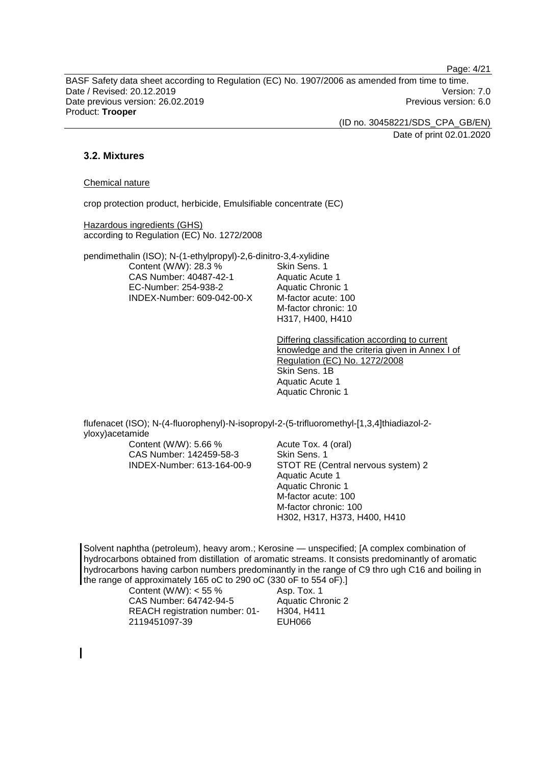Page: 4/21

BASF Safety data sheet according to Regulation (EC) No. 1907/2006 as amended from time to time. Date / Revised: 20.12.2019 Version: 7.0 Date previous version: 26.02.2019 **Previous version: 6.0** Previous version: 6.0 Product: **Trooper**

(ID no. 30458221/SDS\_CPA\_GB/EN)

Date of print 02.01.2020

### **3.2. Mixtures**

#### Chemical nature

crop protection product, herbicide, Emulsifiable concentrate (EC)

Hazardous ingredients (GHS) according to Regulation (EC) No. 1272/2008

pendimethalin (ISO); N-(1-ethylpropyl)-2,6-dinitro-3,4-xylidine Content (W/W): 28.3 % CAS Number: 40487-42-1 EC-Number: 254-938-2 INDEX-Number: 609-042-00-X

Skin Sens. 1 Aquatic Acute 1 Aquatic Chronic 1 M-factor acute: 100 M-factor chronic: 10 H317, H400, H410

Differing classification according to current knowledge and the criteria given in Annex I of Regulation (EC) No. 1272/2008 Skin Sens. 1B Aquatic Acute 1 Aquatic Chronic 1

flufenacet (ISO); N-(4-fluorophenyl)-N-isopropyl-2-(5-trifluoromethyl-[1,3,4]thiadiazol-2 yloxy)acetamide

Content (W/W): 5.66 % CAS Number: 142459-58-3 INDEX-Number: 613-164-00-9

Acute Tox. 4 (oral) Skin Sens. 1 STOT RE (Central nervous system) 2 Aquatic Acute 1 Aquatic Chronic 1 M-factor acute: 100 M-factor chronic: 100 H302, H317, H373, H400, H410

Solvent naphtha (petroleum), heavy arom.; Kerosine — unspecified; [A complex combination of hydrocarbons obtained from distillation of aromatic streams. It consists predominantly of aromatic hydrocarbons having carbon numbers predominantly in the range of C9 thro ugh C16 and boiling in the range of approximately 165 oC to 290 oC (330 oF to 554 oF).]

| Content (W/W): $<$ 55 %        |
|--------------------------------|
| CAS Number: 64742-94-5         |
| REACH registration number: 01- |
| 2119451097-39                  |

Asp. Tox. 1 Aquatic Chronic 2 H304, H411 EUH066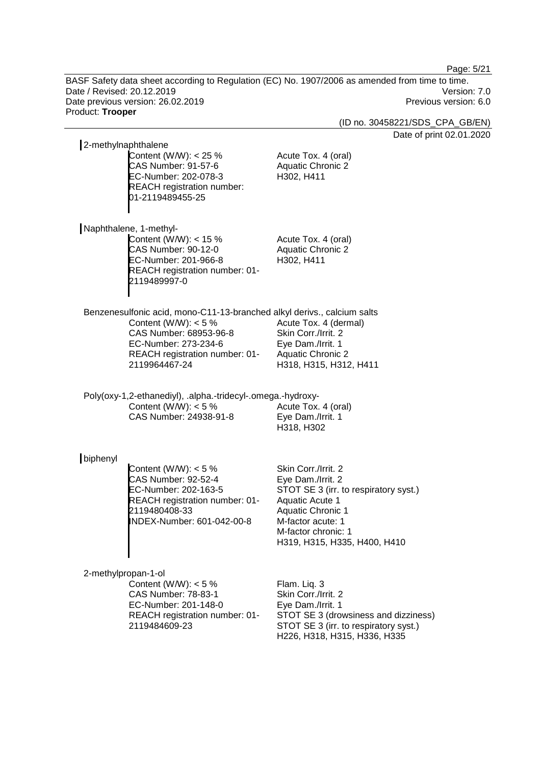Page: 5/21

BASF Safety data sheet according to Regulation (EC) No. 1907/2006 as amended from time to time. Date / Revised: 20.12.2019 Version: 7.0 Date previous version: 26.02.2019 Previous version: 6.0 Product: **Trooper**

(ID no. 30458221/SDS\_CPA\_GB/EN)

Date of print 02.01.2020

| 2-methylnaphthalene |                                                                                                                                        |                                                                       |
|---------------------|----------------------------------------------------------------------------------------------------------------------------------------|-----------------------------------------------------------------------|
|                     | Content (W/W): $<$ 25 %<br><b>CAS Number: 91-57-6</b><br>EC-Number: 202-078-3<br><b>REACH registration number:</b><br>01-2119489455-25 | Acute Tox. 4 (oral)<br><b>Aquatic Chronic 2</b><br>H302, H411         |
|                     | Naphthalene, 1-methyl-                                                                                                                 |                                                                       |
|                     | Content (W/W): $<$ 15 %<br>CAS Number: 90-12-0<br>EC-Number: 201-966-8<br>REACH registration number: 01-<br>2119489997-0               | Acute Tox. 4 (oral)<br><b>Aquatic Chronic 2</b><br>H302, H411         |
|                     | Benzenesulfonic acid, mono-C11-13-branched alkyl derivs., calcium salts                                                                |                                                                       |
|                     | Content (W/W): $<$ 5 %                                                                                                                 | Acute Tox. 4 (dermal)                                                 |
|                     | CAS Number: 68953-96-8                                                                                                                 | Skin Corr./Irrit. 2                                                   |
|                     | EC-Number: 273-234-6                                                                                                                   | Eye Dam./Irrit. 1                                                     |
|                     | REACH registration number: 01-<br>2119964467-24                                                                                        | <b>Aquatic Chronic 2</b><br>H318, H315, H312, H411                    |
|                     |                                                                                                                                        |                                                                       |
|                     | Poly(oxy-1,2-ethanediyl), .alpha.-tridecyl-.omega.-hydroxy-                                                                            |                                                                       |
|                     | Content (W/W): $<$ 5 %                                                                                                                 | Acute Tox. 4 (oral)                                                   |
|                     | CAS Number: 24938-91-8                                                                                                                 | Eye Dam./Irrit. 1                                                     |
|                     |                                                                                                                                        | H318, H302                                                            |
| biphenyl            |                                                                                                                                        |                                                                       |
|                     | Content (W/W): $<$ 5 %                                                                                                                 | Skin Corr./Irrit. 2                                                   |
|                     | <b>CAS Number: 92-52-4</b>                                                                                                             | Eye Dam./Irrit. 2                                                     |
|                     | EC-Number: 202-163-5                                                                                                                   | STOT SE 3 (irr. to respiratory syst.)                                 |
|                     | REACH registration number: 01-<br>2119480408-33                                                                                        | Aquatic Acute 1<br><b>Aquatic Chronic 1</b>                           |
|                     | INDEX-Number: 601-042-00-8                                                                                                             | M-factor acute: 1                                                     |
|                     |                                                                                                                                        | M-factor chronic: 1                                                   |
|                     |                                                                                                                                        | H319, H315, H335, H400, H410                                          |
|                     |                                                                                                                                        |                                                                       |
| 2-methylpropan-1-ol | Content (W/W): $<$ 5 %                                                                                                                 | Flam. Liq. 3                                                          |
|                     | <b>CAS Number: 78-83-1</b>                                                                                                             | Skin Corr./Irrit. 2                                                   |
|                     | EC-Number: 201-148-0                                                                                                                   | Eye Dam./Irrit. 1                                                     |
|                     | REACH registration number: 01-                                                                                                         | STOT SE 3 (drowsiness and dizziness)                                  |
|                     | 2119484609-23                                                                                                                          | STOT SE 3 (irr. to respiratory syst.)<br>H226, H318, H315, H336, H335 |
|                     |                                                                                                                                        |                                                                       |
|                     |                                                                                                                                        |                                                                       |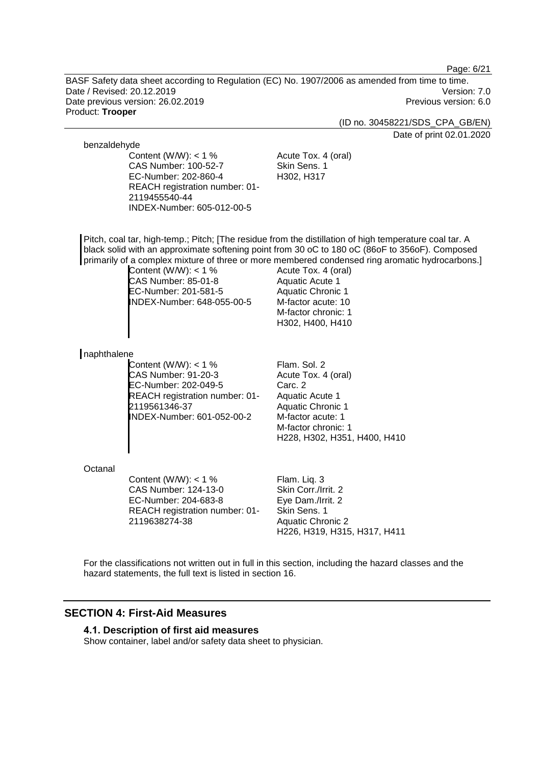Page: 6/21

BASF Safety data sheet according to Regulation (EC) No. 1907/2006 as amended from time to time. Date / Revised: 20.12.2019 Version: 7.0 Date previous version: 26.02.2019 **Previous version: 6.0** Previous version: 6.0 Product: **Trooper**

(ID no. 30458221/SDS\_CPA\_GB/EN)

Date of print 02.01.2020

#### benzaldehyde

Content (W/W):  $<$  1 % CAS Number: 100-52-7 EC-Number: 202-860-4 REACH registration number: 01- 2119455540-44 INDEX-Number: 605-012-00-5

Acute Tox. 4 (oral) Skin Sens. 1 H302, H317

Pitch, coal tar, high-temp.; Pitch; [The residue from the distillation of high temperature coal tar. A black solid with an approximate softening point from 30 oC to 180 oC (86oF to 356oF). Composed primarily of a complex mixture of three or more membered condensed ring aromatic hydrocarbons.]

Content (W/W): < 1 % CAS Number: 85-01-8 EC-Number: 201-581-5 INDEX-Number: 648-055-00-5

Acute Tox. 4 (oral) Aquatic Acute 1 Aquatic Chronic 1 M-factor acute: 10 M-factor chronic: 1 H302, H400, H410

#### naphthalene

Content (W/W):  $<$  1 % CAS Number: 91-20-3 EC-Number: 202-049-5 REACH registration number: 01- 2119561346-37 INDEX-Number: 601-052-00-2

Flam. Sol. 2 Acute Tox. 4 (oral) Carc. 2 Aquatic Acute 1 Aquatic Chronic 1 M-factor acute: 1 M-factor chronic: 1 H228, H302, H351, H400, H410

#### **Octanal**

Content (W/W):  $<$  1 % CAS Number: 124-13-0 EC-Number: 204-683-8 REACH registration number: 01- 2119638274-38

Flam. Liq. 3 Skin Corr./Irrit. 2 Eye Dam./Irrit. 2 Skin Sens. 1 Aquatic Chronic 2 H226, H319, H315, H317, H411

For the classifications not written out in full in this section, including the hazard classes and the hazard statements, the full text is listed in section 16.

## **SECTION 4: First-Aid Measures**

#### **4.1. Description of first aid measures**

Show container, label and/or safety data sheet to physician.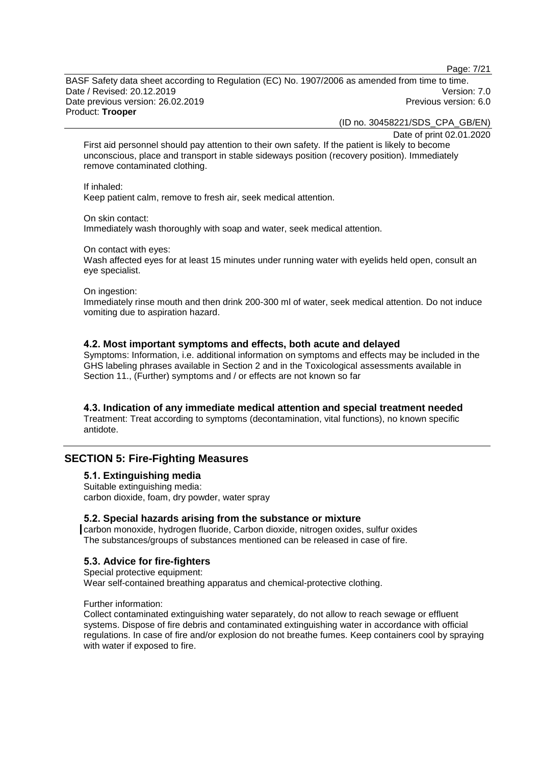Page: 7/21

BASF Safety data sheet according to Regulation (EC) No. 1907/2006 as amended from time to time. Date / Revised: 20.12.2019 Version: 7.0 Date previous version: 26.02.2019 **Previous version: 6.0** Previous version: 6.0 Product: **Trooper**

(ID no. 30458221/SDS\_CPA\_GB/EN)

Date of print 02.01.2020

First aid personnel should pay attention to their own safety. If the patient is likely to become unconscious, place and transport in stable sideways position (recovery position). Immediately remove contaminated clothing.

#### If inhaled:

Keep patient calm, remove to fresh air, seek medical attention.

On skin contact:

Immediately wash thoroughly with soap and water, seek medical attention.

On contact with eyes:

Wash affected eyes for at least 15 minutes under running water with eyelids held open, consult an eye specialist.

#### On ingestion:

Immediately rinse mouth and then drink 200-300 ml of water, seek medical attention. Do not induce vomiting due to aspiration hazard.

#### **4.2. Most important symptoms and effects, both acute and delayed**

Symptoms: Information, i.e. additional information on symptoms and effects may be included in the GHS labeling phrases available in Section 2 and in the Toxicological assessments available in Section 11., (Further) symptoms and / or effects are not known so far

#### **4.3. Indication of any immediate medical attention and special treatment needed**

Treatment: Treat according to symptoms (decontamination, vital functions), no known specific antidote.

## **SECTION 5: Fire-Fighting Measures**

### **5.1. Extinguishing media**

Suitable extinguishing media: carbon dioxide, foam, dry powder, water spray

#### **5.2. Special hazards arising from the substance or mixture**

carbon monoxide, hydrogen fluoride, Carbon dioxide, nitrogen oxides, sulfur oxides The substances/groups of substances mentioned can be released in case of fire.

### **5.3. Advice for fire-fighters**

Special protective equipment: Wear self-contained breathing apparatus and chemical-protective clothing.

#### Further information:

Collect contaminated extinguishing water separately, do not allow to reach sewage or effluent systems. Dispose of fire debris and contaminated extinguishing water in accordance with official regulations. In case of fire and/or explosion do not breathe fumes. Keep containers cool by spraying with water if exposed to fire.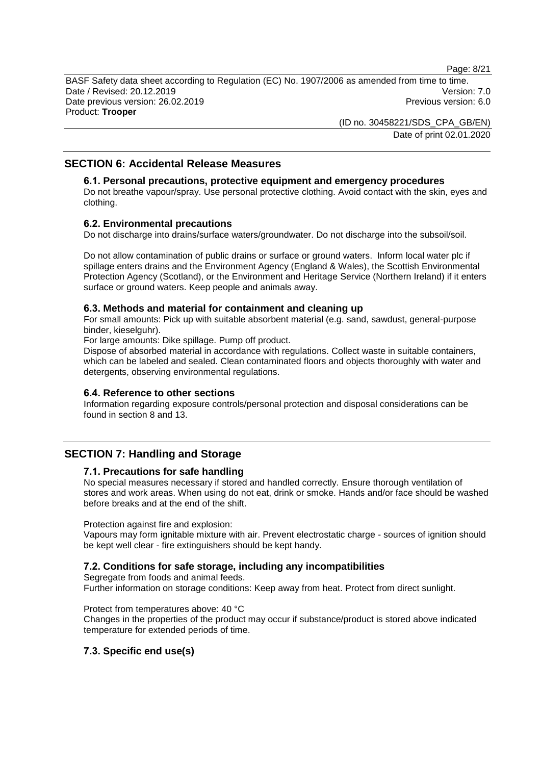Page: 8/21

BASF Safety data sheet according to Regulation (EC) No. 1907/2006 as amended from time to time. Date / Revised: 20.12.2019 Version: 7.0 Date previous version: 26.02.2019 **Previous version: 6.0** Previous version: 6.0 Product: **Trooper**

> (ID no. 30458221/SDS\_CPA\_GB/EN) Date of print 02.01.2020

## **SECTION 6: Accidental Release Measures**

#### **6.1. Personal precautions, protective equipment and emergency procedures**

Do not breathe vapour/spray. Use personal protective clothing. Avoid contact with the skin, eyes and clothing.

#### **6.2. Environmental precautions**

Do not discharge into drains/surface waters/groundwater. Do not discharge into the subsoil/soil.

Do not allow contamination of public drains or surface or ground waters. Inform local water plc if spillage enters drains and the Environment Agency (England & Wales), the Scottish Environmental Protection Agency (Scotland), or the Environment and Heritage Service (Northern Ireland) if it enters surface or ground waters. Keep people and animals away.

#### **6.3. Methods and material for containment and cleaning up**

For small amounts: Pick up with suitable absorbent material (e.g. sand, sawdust, general-purpose binder, kieselguhr).

For large amounts: Dike spillage. Pump off product.

Dispose of absorbed material in accordance with regulations. Collect waste in suitable containers, which can be labeled and sealed. Clean contaminated floors and objects thoroughly with water and detergents, observing environmental regulations.

#### **6.4. Reference to other sections**

Information regarding exposure controls/personal protection and disposal considerations can be found in section 8 and 13.

## **SECTION 7: Handling and Storage**

#### **7.1. Precautions for safe handling**

No special measures necessary if stored and handled correctly. Ensure thorough ventilation of stores and work areas. When using do not eat, drink or smoke. Hands and/or face should be washed before breaks and at the end of the shift.

Protection against fire and explosion:

Vapours may form ignitable mixture with air. Prevent electrostatic charge - sources of ignition should be kept well clear - fire extinguishers should be kept handy.

### **7.2. Conditions for safe storage, including any incompatibilities**

Segregate from foods and animal feeds.

Further information on storage conditions: Keep away from heat. Protect from direct sunlight.

Protect from temperatures above: 40 °C

Changes in the properties of the product may occur if substance/product is stored above indicated temperature for extended periods of time.

### **7.3. Specific end use(s)**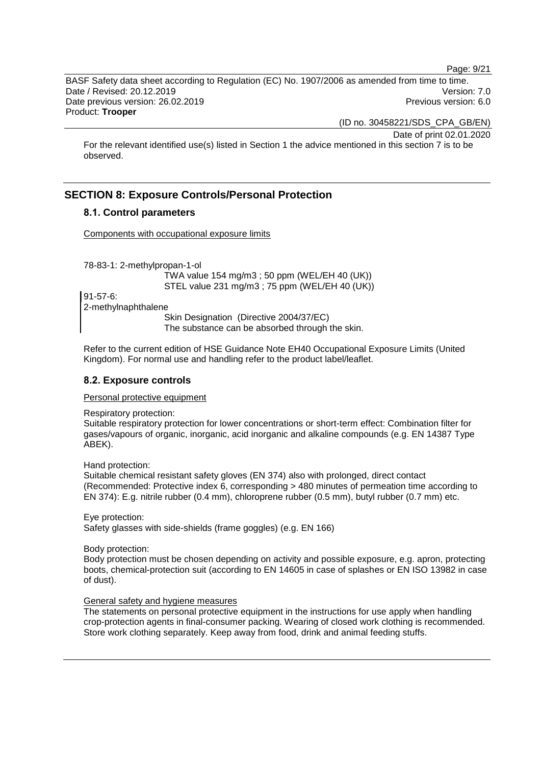Page: 9/21

BASF Safety data sheet according to Regulation (EC) No. 1907/2006 as amended from time to time. Date / Revised: 20.12.2019 Version: 7.0 Date previous version: 26.02.2019 **Previous version: 6.0** Previous version: 6.0 Product: **Trooper**

(ID no. 30458221/SDS\_CPA\_GB/EN)

Date of print 02.01.2020

For the relevant identified use(s) listed in Section 1 the advice mentioned in this section 7 is to be observed.

## **SECTION 8: Exposure Controls/Personal Protection**

## **8.1. Control parameters**

Components with occupational exposure limits

78-83-1: 2-methylpropan-1-ol

TWA value 154 mg/m3 ; 50 ppm (WEL/EH 40 (UK)) STEL value 231 mg/m3 ; 75 ppm (WEL/EH 40 (UK))

91-57-6: 2-methylnaphthalene

Skin Designation (Directive 2004/37/EC) The substance can be absorbed through the skin.

Refer to the current edition of HSE Guidance Note EH40 Occupational Exposure Limits (United Kingdom). For normal use and handling refer to the product label/leaflet.

### **8.2. Exposure controls**

#### Personal protective equipment

Respiratory protection:

Suitable respiratory protection for lower concentrations or short-term effect: Combination filter for gases/vapours of organic, inorganic, acid inorganic and alkaline compounds (e.g. EN 14387 Type ABEK).

Hand protection:

Suitable chemical resistant safety gloves (EN 374) also with prolonged, direct contact (Recommended: Protective index 6, corresponding > 480 minutes of permeation time according to EN 374): E.g. nitrile rubber (0.4 mm), chloroprene rubber (0.5 mm), butyl rubber (0.7 mm) etc.

Eye protection: Safety glasses with side-shields (frame goggles) (e.g. EN 166)

Body protection:

Body protection must be chosen depending on activity and possible exposure, e.g. apron, protecting boots, chemical-protection suit (according to EN 14605 in case of splashes or EN ISO 13982 in case of dust).

#### General safety and hygiene measures

The statements on personal protective equipment in the instructions for use apply when handling crop-protection agents in final-consumer packing. Wearing of closed work clothing is recommended. Store work clothing separately. Keep away from food, drink and animal feeding stuffs.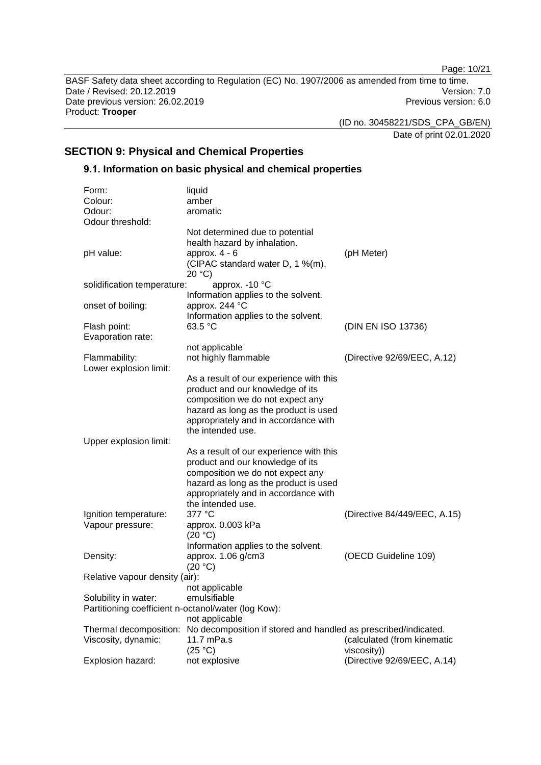Page: 10/21

BASF Safety data sheet according to Regulation (EC) No. 1907/2006 as amended from time to time. Date / Revised: 20.12.2019 Version: 7.0<br>Date previous version: 26.02.2019 Version: 7.0 Date previous version: 26.02.2019 Product: **Trooper**

(ID no. 30458221/SDS\_CPA\_GB/EN)

Date of print 02.01.2020

## **SECTION 9: Physical and Chemical Properties**

## **9.1. Information on basic physical and chemical properties**

| Form:                                               | liquid                                                                                 |                              |
|-----------------------------------------------------|----------------------------------------------------------------------------------------|------------------------------|
| Colour:                                             | amber                                                                                  |                              |
| Odour:                                              | aromatic                                                                               |                              |
| Odour threshold:                                    |                                                                                        |                              |
|                                                     | Not determined due to potential                                                        |                              |
|                                                     | health hazard by inhalation.                                                           |                              |
| pH value:                                           | approx. $4 - 6$                                                                        | (pH Meter)                   |
|                                                     | (CIPAC standard water D, 1 %(m),                                                       |                              |
|                                                     | 20 °C                                                                                  |                              |
| solidification temperature:                         | approx. - 10 °C                                                                        |                              |
|                                                     | Information applies to the solvent.                                                    |                              |
| onset of boiling:                                   | approx. 244 °C                                                                         |                              |
|                                                     | Information applies to the solvent.                                                    |                              |
| Flash point:                                        | 63.5 °C                                                                                | (DIN EN ISO 13736)           |
| Evaporation rate:                                   |                                                                                        |                              |
|                                                     | not applicable                                                                         |                              |
| Flammability:                                       | not highly flammable                                                                   | (Directive 92/69/EEC, A.12)  |
| Lower explosion limit:                              |                                                                                        |                              |
|                                                     | As a result of our experience with this                                                |                              |
|                                                     | product and our knowledge of its                                                       |                              |
|                                                     | composition we do not expect any                                                       |                              |
|                                                     | hazard as long as the product is used                                                  |                              |
|                                                     | appropriately and in accordance with                                                   |                              |
|                                                     | the intended use.                                                                      |                              |
| Upper explosion limit:                              |                                                                                        |                              |
|                                                     | As a result of our experience with this<br>product and our knowledge of its            |                              |
|                                                     | composition we do not expect any                                                       |                              |
|                                                     | hazard as long as the product is used                                                  |                              |
|                                                     | appropriately and in accordance with                                                   |                              |
|                                                     | the intended use.                                                                      |                              |
| Ignition temperature:                               | 377 °C                                                                                 | (Directive 84/449/EEC, A.15) |
| Vapour pressure:                                    | approx. 0.003 kPa                                                                      |                              |
|                                                     | (20 °C)                                                                                |                              |
|                                                     | Information applies to the solvent.                                                    |                              |
| Density:                                            | approx. 1.06 g/cm3                                                                     | (OECD Guideline 109)         |
|                                                     | (20 °C)                                                                                |                              |
| Relative vapour density (air):                      |                                                                                        |                              |
|                                                     | not applicable                                                                         |                              |
| Solubility in water:                                | emulsifiable                                                                           |                              |
| Partitioning coefficient n-octanol/water (log Kow): |                                                                                        |                              |
|                                                     | not applicable                                                                         |                              |
|                                                     | Thermal decomposition: No decomposition if stored and handled as prescribed/indicated. |                              |
| Viscosity, dynamic:                                 | 11.7 mPa.s                                                                             | (calculated (from kinematic  |
|                                                     | (25 °C)                                                                                | viscosity))                  |
| Explosion hazard:                                   | not explosive                                                                          | (Directive 92/69/EEC, A.14)  |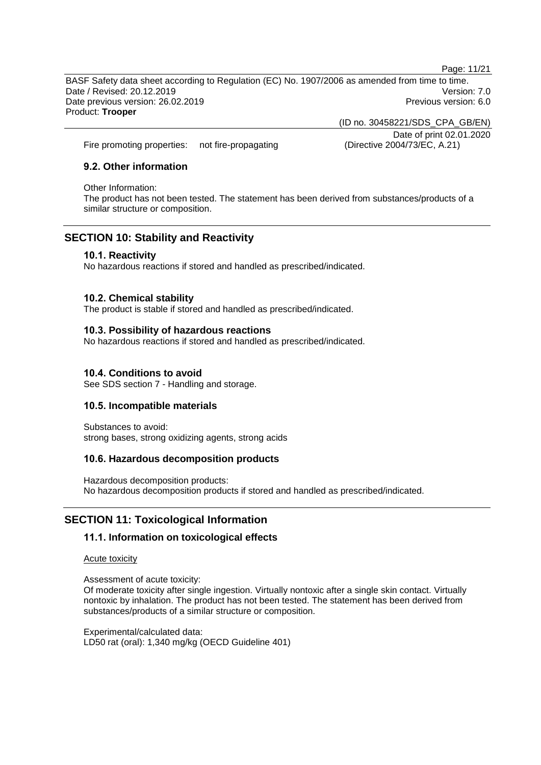Page: 11/21

BASF Safety data sheet according to Regulation (EC) No. 1907/2006 as amended from time to time. Date / Revised: 20.12.2019 Version: 7.0 Date previous version: 26.02.2019 **Previous version: 6.0** Previous version: 6.0 Product: **Trooper**

> (ID no. 30458221/SDS\_CPA\_GB/EN) Date of print 02.01.2020

Fire promoting properties: not fire-propagating (Directive 2004/73/EC, A.21)

## **9.2. Other information**

#### Other Information:

The product has not been tested. The statement has been derived from substances/products of a similar structure or composition.

## **SECTION 10: Stability and Reactivity**

### **10.1. Reactivity**

No hazardous reactions if stored and handled as prescribed/indicated.

#### **10.2. Chemical stability**

The product is stable if stored and handled as prescribed/indicated.

#### **10.3. Possibility of hazardous reactions**

No hazardous reactions if stored and handled as prescribed/indicated.

#### **10.4. Conditions to avoid**

See SDS section 7 - Handling and storage.

### **10.5. Incompatible materials**

Substances to avoid: strong bases, strong oxidizing agents, strong acids

### **10.6. Hazardous decomposition products**

Hazardous decomposition products: No hazardous decomposition products if stored and handled as prescribed/indicated.

## **SECTION 11: Toxicological Information**

### **11.1. Information on toxicological effects**

Acute toxicity

Assessment of acute toxicity:

Of moderate toxicity after single ingestion. Virtually nontoxic after a single skin contact. Virtually nontoxic by inhalation. The product has not been tested. The statement has been derived from substances/products of a similar structure or composition.

Experimental/calculated data: LD50 rat (oral): 1,340 mg/kg (OECD Guideline 401)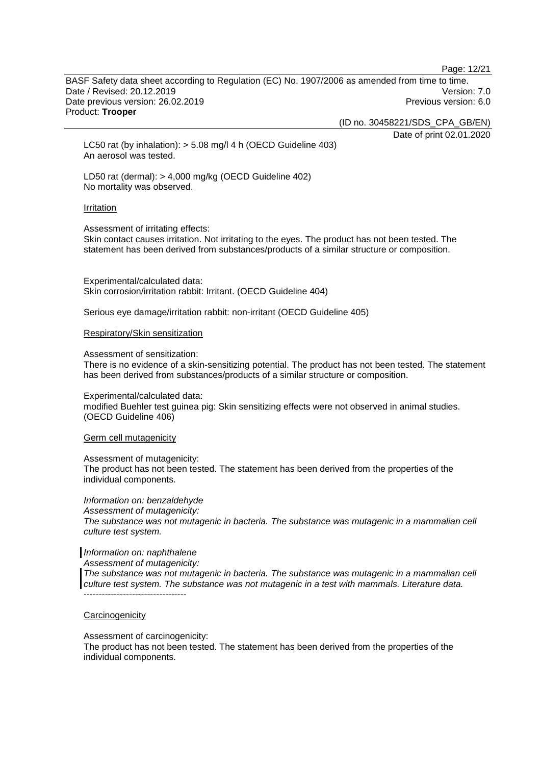Page: 12/21

BASF Safety data sheet according to Regulation (EC) No. 1907/2006 as amended from time to time. Date / Revised: 20.12.2019 Version: 7.0 Date previous version: 26.02.2019 **Previous version: 6.0** Previous version: 6.0 Product: **Trooper**

(ID no. 30458221/SDS\_CPA\_GB/EN)

Date of print 02.01.2020

LC50 rat (by inhalation): > 5.08 mg/l 4 h (OECD Guideline 403) An aerosol was tested.

LD50 rat (dermal): > 4,000 mg/kg (OECD Guideline 402) No mortality was observed.

#### Irritation

Assessment of irritating effects:

Skin contact causes irritation. Not irritating to the eyes. The product has not been tested. The statement has been derived from substances/products of a similar structure or composition.

Experimental/calculated data: Skin corrosion/irritation rabbit: Irritant. (OECD Guideline 404)

Serious eye damage/irritation rabbit: non-irritant (OECD Guideline 405)

#### Respiratory/Skin sensitization

Assessment of sensitization:

There is no evidence of a skin-sensitizing potential. The product has not been tested. The statement has been derived from substances/products of a similar structure or composition.

Experimental/calculated data: modified Buehler test guinea pig: Skin sensitizing effects were not observed in animal studies. (OECD Guideline 406)

#### Germ cell mutagenicity

Assessment of mutagenicity:

The product has not been tested. The statement has been derived from the properties of the individual components.

*Information on: benzaldehyde Assessment of mutagenicity: The substance was not mutagenic in bacteria. The substance was mutagenic in a mammalian cell culture test system.*

#### *Information on: naphthalene*

*Assessment of mutagenicity:*

*The substance was not mutagenic in bacteria. The substance was mutagenic in a mammalian cell culture test system. The substance was not mutagenic in a test with mammals. Literature data.*  $-$ 

#### **Carcinogenicity**

Assessment of carcinogenicity:

The product has not been tested. The statement has been derived from the properties of the individual components.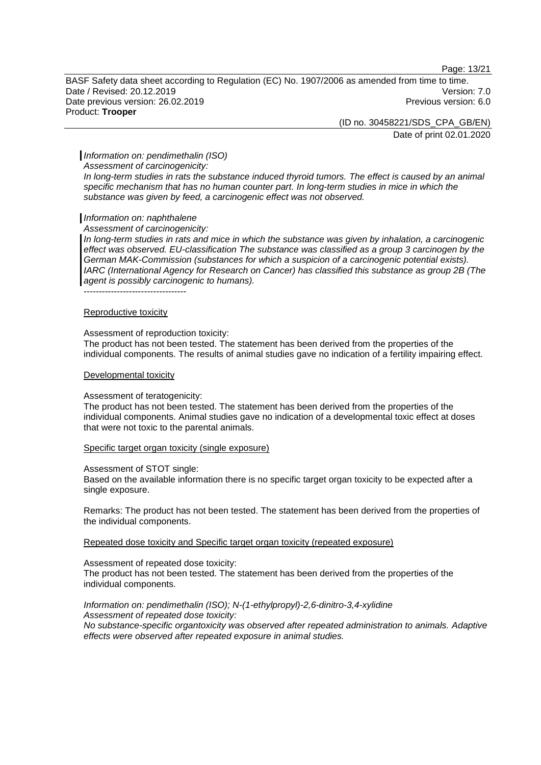Page: 13/21

BASF Safety data sheet according to Regulation (EC) No. 1907/2006 as amended from time to time. Date / Revised: 20.12.2019 Version: 7.0 Date previous version: 26.02.2019 **Previous version: 6.0** Previous version: 6.0 Product: **Trooper**

(ID no. 30458221/SDS\_CPA\_GB/EN)

Date of print 02.01.2020

#### *Information on: pendimethalin (ISO)*

*Assessment of carcinogenicity:*

*In long-term studies in rats the substance induced thyroid tumors. The effect is caused by an animal specific mechanism that has no human counter part. In long-term studies in mice in which the substance was given by feed, a carcinogenic effect was not observed.*

#### *Information on: naphthalene*

*Assessment of carcinogenicity:*

In long-term studies in rats and mice in which the substance was given by inhalation, a carcinogenic *effect was observed. EU-classification The substance was classified as a group 3 carcinogen by the German MAK-Commission (substances for which a suspicion of a carcinogenic potential exists). IARC (International Agency for Research on Cancer) has classified this substance as group 2B (The agent is possibly carcinogenic to humans).*

Reproductive toxicity

----------------------------------

#### Assessment of reproduction toxicity:

The product has not been tested. The statement has been derived from the properties of the individual components. The results of animal studies gave no indication of a fertility impairing effect.

#### Developmental toxicity

#### Assessment of teratogenicity:

The product has not been tested. The statement has been derived from the properties of the individual components. Animal studies gave no indication of a developmental toxic effect at doses that were not toxic to the parental animals.

Specific target organ toxicity (single exposure)

Assessment of STOT single:

Based on the available information there is no specific target organ toxicity to be expected after a single exposure.

Remarks: The product has not been tested. The statement has been derived from the properties of the individual components.

Repeated dose toxicity and Specific target organ toxicity (repeated exposure)

Assessment of repeated dose toxicity: The product has not been tested. The statement has been derived from the properties of the individual components.

## *Information on: pendimethalin (ISO); N-(1-ethylpropyl)-2,6-dinitro-3,4-xylidine*

*Assessment of repeated dose toxicity: No substance-specific organtoxicity was observed after repeated administration to animals. Adaptive effects were observed after repeated exposure in animal studies.*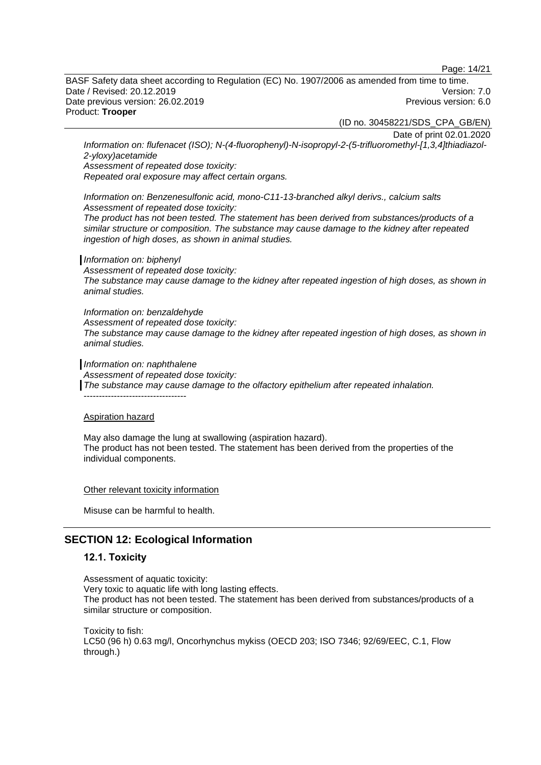Page: 14/21

BASF Safety data sheet according to Regulation (EC) No. 1907/2006 as amended from time to time. Date / Revised: 20.12.2019 Version: 7.0 Date previous version: 26.02.2019 **Previous version: 6.0** Previous version: 6.0 Product: **Trooper**

(ID no. 30458221/SDS\_CPA\_GB/EN)

Date of print 02.01.2020

*Information on: flufenacet (ISO); N-(4-fluorophenyl)-N-isopropyl-2-(5-trifluoromethyl-[1,3,4]thiadiazol-2-yloxy)acetamide*

*Assessment of repeated dose toxicity:*

*Repeated oral exposure may affect certain organs.*

*Information on: Benzenesulfonic acid, mono-C11-13-branched alkyl derivs., calcium salts Assessment of repeated dose toxicity:*

*The product has not been tested. The statement has been derived from substances/products of a similar structure or composition. The substance may cause damage to the kidney after repeated ingestion of high doses, as shown in animal studies.*

#### *Information on: biphenyl*

*Assessment of repeated dose toxicity: The substance may cause damage to the kidney after repeated ingestion of high doses, as shown in animal studies.*

*Information on: benzaldehyde Assessment of repeated dose toxicity: The substance may cause damage to the kidney after repeated ingestion of high doses, as shown in animal studies.*

*Information on: naphthalene*

*Assessment of repeated dose toxicity:*

*The substance may cause damage to the olfactory epithelium after repeated inhalation.*

----------------------------------

#### Aspiration hazard

May also damage the lung at swallowing (aspiration hazard). The product has not been tested. The statement has been derived from the properties of the individual components.

Other relevant toxicity information

Misuse can be harmful to health.

## **SECTION 12: Ecological Information**

#### **12.1. Toxicity**

Assessment of aquatic toxicity: Very toxic to aquatic life with long lasting effects. The product has not been tested. The statement has been derived from substances/products of a similar structure or composition.

Toxicity to fish: LC50 (96 h) 0.63 mg/l, Oncorhynchus mykiss (OECD 203; ISO 7346; 92/69/EEC, C.1, Flow through.)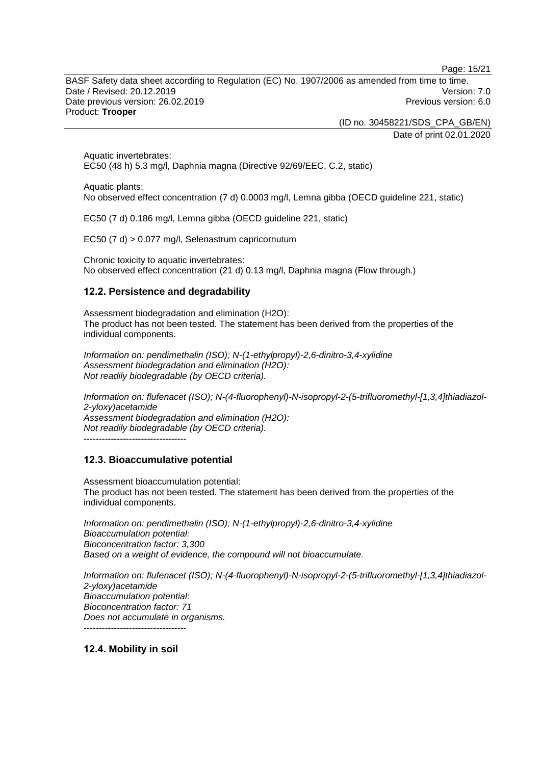Page: 15/21

BASF Safety data sheet according to Regulation (EC) No. 1907/2006 as amended from time to time. Date / Revised: 20.12.2019 Version: 7.0 Date previous version: 26.02.2019 **Previous version: 6.0** Previous version: 6.0 Product: **Trooper**

> (ID no. 30458221/SDS\_CPA\_GB/EN) Date of print 02.01.2020

Aquatic invertebrates: EC50 (48 h) 5.3 mg/l, Daphnia magna (Directive 92/69/EEC, C.2, static)

Aquatic plants:

No observed effect concentration (7 d) 0.0003 mg/l, Lemna gibba (OECD guideline 221, static)

EC50 (7 d) 0.186 mg/l, Lemna gibba (OECD guideline 221, static)

EC50 (7 d) > 0.077 mg/l, Selenastrum capricornutum

Chronic toxicity to aquatic invertebrates: No observed effect concentration (21 d) 0.13 mg/l, Daphnia magna (Flow through.)

## **12.2. Persistence and degradability**

Assessment biodegradation and elimination (H2O): The product has not been tested. The statement has been derived from the properties of the individual components.

*Information on: pendimethalin (ISO); N-(1-ethylpropyl)-2,6-dinitro-3,4-xylidine Assessment biodegradation and elimination (H2O): Not readily biodegradable (by OECD criteria).*

*Information on: flufenacet (ISO); N-(4-fluorophenyl)-N-isopropyl-2-(5-trifluoromethyl-[1,3,4]thiadiazol-2-yloxy)acetamide Assessment biodegradation and elimination (H2O): Not readily biodegradable (by OECD criteria).* ----------------------------------

## **12.3. Bioaccumulative potential**

Assessment bioaccumulation potential: The product has not been tested. The statement has been derived from the properties of the individual components.

*Information on: pendimethalin (ISO); N-(1-ethylpropyl)-2,6-dinitro-3,4-xylidine Bioaccumulation potential: Bioconcentration factor: 3,300 Based on a weight of evidence, the compound will not bioaccumulate.*

*Information on: flufenacet (ISO); N-(4-fluorophenyl)-N-isopropyl-2-(5-trifluoromethyl-[1,3,4]thiadiazol-2-yloxy)acetamide Bioaccumulation potential: Bioconcentration factor: 71 Does not accumulate in organisms.* ----------------------------------

**12.4. Mobility in soil**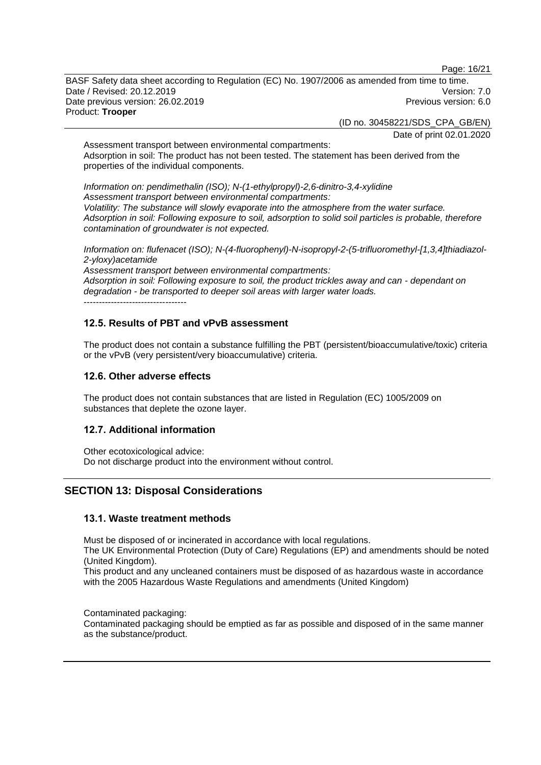Page: 16/21

BASF Safety data sheet according to Regulation (EC) No. 1907/2006 as amended from time to time. Date / Revised: 20.12.2019 Version: 7.0 Date previous version: 26.02.2019 **Previous version: 6.0** Previous version: 6.0 Product: **Trooper**

(ID no. 30458221/SDS\_CPA\_GB/EN)

Date of print 02.01.2020

Assessment transport between environmental compartments: Adsorption in soil: The product has not been tested. The statement has been derived from the properties of the individual components.

*Information on: pendimethalin (ISO); N-(1-ethylpropyl)-2,6-dinitro-3,4-xylidine Assessment transport between environmental compartments: Volatility: The substance will slowly evaporate into the atmosphere from the water surface. Adsorption in soil: Following exposure to soil, adsorption to solid soil particles is probable, therefore contamination of groundwater is not expected.*

*Information on: flufenacet (ISO); N-(4-fluorophenyl)-N-isopropyl-2-(5-trifluoromethyl-[1,3,4]thiadiazol-2-yloxy)acetamide*

*Assessment transport between environmental compartments: Adsorption in soil: Following exposure to soil, the product trickles away and can - dependant on degradation - be transported to deeper soil areas with larger water loads.* ----------------------------------

## **12.5. Results of PBT and vPvB assessment**

The product does not contain a substance fulfilling the PBT (persistent/bioaccumulative/toxic) criteria or the vPvB (very persistent/very bioaccumulative) criteria.

## **12.6. Other adverse effects**

The product does not contain substances that are listed in Regulation (EC) 1005/2009 on substances that deplete the ozone layer.

### **12.7. Additional information**

Other ecotoxicological advice: Do not discharge product into the environment without control.

## **SECTION 13: Disposal Considerations**

### **13.1. Waste treatment methods**

Must be disposed of or incinerated in accordance with local regulations.

The UK Environmental Protection (Duty of Care) Regulations (EP) and amendments should be noted (United Kingdom).

This product and any uncleaned containers must be disposed of as hazardous waste in accordance with the 2005 Hazardous Waste Regulations and amendments (United Kingdom)

Contaminated packaging:

Contaminated packaging should be emptied as far as possible and disposed of in the same manner as the substance/product.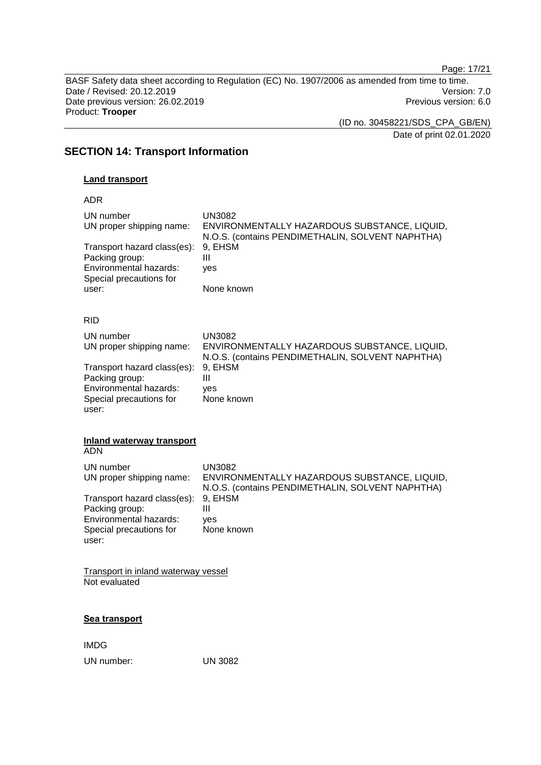Page: 17/21

BASF Safety data sheet according to Regulation (EC) No. 1907/2006 as amended from time to time. Date / Revised: 20.12.2019 Version: 7.0<br>Date previous version: 26.02.2019 Version: 7.0 Date previous version: 26.02.2019 Product: **Trooper**

(ID no. 30458221/SDS\_CPA\_GB/EN)

Date of print 02.01.2020

## **SECTION 14: Transport Information**

## **Land transport**

ADR

| UN number<br>UN proper shipping name:<br>Transport hazard class(es):<br>Packing group:<br>Environmental hazards:<br>Special precautions for<br>user: | UN3082<br>ENVIRONMENTALLY HAZARDOUS SUBSTANCE, LIQUID,<br>N.O.S. (contains PENDIMETHALIN, SOLVENT NAPHTHA)<br>9, EHSM<br>Ш<br>yes<br>None known |
|------------------------------------------------------------------------------------------------------------------------------------------------------|-------------------------------------------------------------------------------------------------------------------------------------------------|
| <b>RID</b>                                                                                                                                           |                                                                                                                                                 |
| UN number<br>UN proper shipping name:                                                                                                                | <b>UN3082</b><br>ENVIRONMENTALLY HAZARDOUS SUBSTANCE, LIQUID,                                                                                   |
| Transport hazard class(es):<br>Packing group:<br>Environmental hazards:<br>Special precautions for<br>user:                                          | N.O.S. (contains PENDIMETHALIN, SOLVENT NAPHTHA)<br>9, EHSM<br>Ш<br>yes<br>None known                                                           |
| <b>Inland waterway transport</b><br><b>ADN</b>                                                                                                       |                                                                                                                                                 |
| UN number<br>UN proper shipping name:                                                                                                                | <b>UN3082</b><br>ENVIRONMENTALLY HAZARDOUS SUBSTANCE, LIQUID,<br>N.O.S. (contains PENDIMETHALIN, SOLVENT NAPHTHA)                               |
| Transport hazard class(es):<br>Packing group:<br>Environmental hazards:<br>Special precautions for<br>user:                                          | 9, EHSM<br>Ш<br>ves<br>None known                                                                                                               |
| Transport in inland waterway vessel<br>Not evaluated                                                                                                 |                                                                                                                                                 |

**Sea transport**

IMDG UN number: UN 3082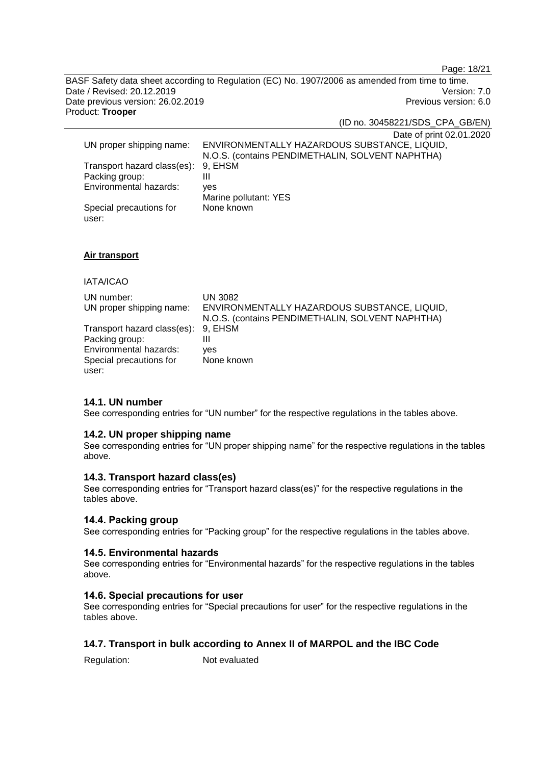Page: 18/21

BASF Safety data sheet according to Regulation (EC) No. 1907/2006 as amended from time to time. Date / Revised: 20.12.2019 Version: 7.0<br>Date previous version: 26.02.2019 Version: 7.0 Date previous version: 26.02.2019 Product: **Trooper**

(ID no. 30458221/SDS\_CPA\_GB/EN)

Date of print 02.01.2020

|                                     | $D$ ulo or print $D$ z.o r.                      |
|-------------------------------------|--------------------------------------------------|
| UN proper shipping name:            | ENVIRONMENTALLY HAZARDOUS SUBSTANCE, LIQUID,     |
|                                     | N.O.S. (contains PENDIMETHALIN, SOLVENT NAPHTHA) |
| Transport hazard class(es): 9, EHSM |                                                  |
| Packing group:                      | Ш                                                |
| Environmental hazards:              | ves                                              |
|                                     | Marine pollutant: YES                            |
| Special precautions for             | None known                                       |
| user:                               |                                                  |

#### **Air transport**

### IATA/ICAO

| UN number:                          | UN 3082                                          |
|-------------------------------------|--------------------------------------------------|
| UN proper shipping name:            | ENVIRONMENTALLY HAZARDOUS SUBSTANCE, LIQUID,     |
|                                     | N.O.S. (contains PENDIMETHALIN, SOLVENT NAPHTHA) |
| Transport hazard class(es): 9, EHSM |                                                  |
| Packing group:                      | Ш                                                |
| Environmental hazards:              | ves                                              |
| Special precautions for             | None known                                       |
| user:                               |                                                  |

### **14.1. UN number**

See corresponding entries for "UN number" for the respective regulations in the tables above.

#### **14.2. UN proper shipping name**

See corresponding entries for "UN proper shipping name" for the respective regulations in the tables above.

## **14.3. Transport hazard class(es)**

See corresponding entries for "Transport hazard class(es)" for the respective regulations in the tables above.

#### **14.4. Packing group**

See corresponding entries for "Packing group" for the respective regulations in the tables above.

#### **14.5. Environmental hazards**

See corresponding entries for "Environmental hazards" for the respective regulations in the tables above.

#### **14.6. Special precautions for user**

See corresponding entries for "Special precautions for user" for the respective regulations in the tables above.

## **14.7. Transport in bulk according to Annex II of MARPOL and the IBC Code**

Regulation: Not evaluated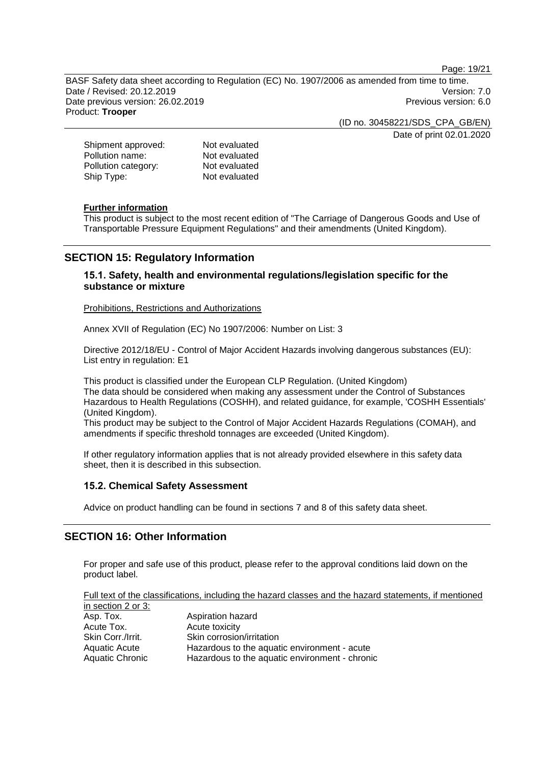Page: 19/21

BASF Safety data sheet according to Regulation (EC) No. 1907/2006 as amended from time to time. Date / Revised: 20.12.2019 Version: 7.0 Date previous version: 26.02.2019 **Previous version: 6.0** Previous version: 6.0 Product: **Trooper**

> (ID no. 30458221/SDS\_CPA\_GB/EN) Date of print 02.01.2020

Shipment approved: Not evaluated<br>
Pollution name: Not evaluated Pollution name:<br>
Pollution category:<br>
Not evaluated Pollution category: Ship Type: Not evaluated

#### **Further information**

This product is subject to the most recent edition of "The Carriage of Dangerous Goods and Use of Transportable Pressure Equipment Regulations" and their amendments (United Kingdom).

## **SECTION 15: Regulatory Information**

### **15.1. Safety, health and environmental regulations/legislation specific for the substance or mixture**

Prohibitions, Restrictions and Authorizations

Annex XVII of Regulation (EC) No 1907/2006: Number on List: 3

Directive 2012/18/EU - Control of Major Accident Hazards involving dangerous substances (EU): List entry in regulation: E1

This product is classified under the European CLP Regulation. (United Kingdom) The data should be considered when making any assessment under the Control of Substances Hazardous to Health Regulations (COSHH), and related guidance, for example, 'COSHH Essentials' (United Kingdom).

This product may be subject to the Control of Major Accident Hazards Regulations (COMAH), and amendments if specific threshold tonnages are exceeded (United Kingdom).

If other regulatory information applies that is not already provided elsewhere in this safety data sheet, then it is described in this subsection.

### **15.2. Chemical Safety Assessment**

Advice on product handling can be found in sections 7 and 8 of this safety data sheet.

## **SECTION 16: Other Information**

For proper and safe use of this product, please refer to the approval conditions laid down on the product label.

Full text of the classifications, including the hazard classes and the hazard statements, if mentioned in section 2 or 3:

| Asp. Tox.         | Aspiration hazard                              |
|-------------------|------------------------------------------------|
| Acute Tox.        | Acute toxicity                                 |
| Skin Corr./Irrit. | Skin corrosion/irritation                      |
| Aquatic Acute     | Hazardous to the aquatic environment - acute   |
| Aquatic Chronic   | Hazardous to the aquatic environment - chronic |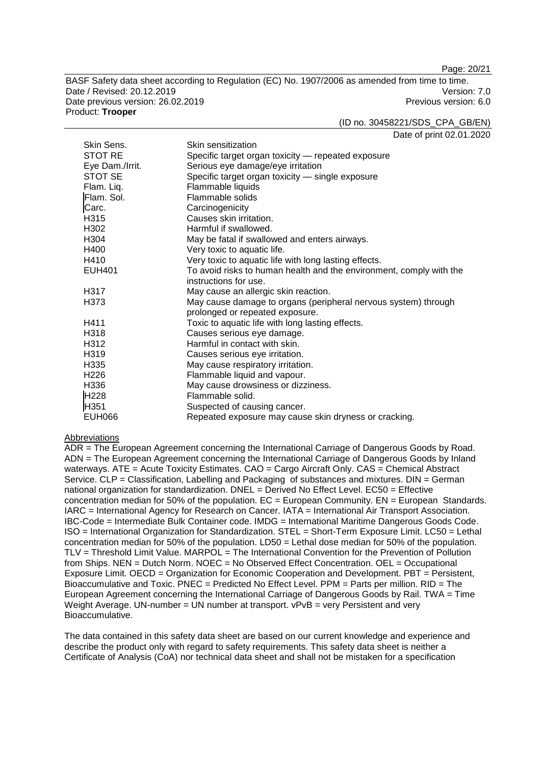Page: 20/21

BASF Safety data sheet according to Regulation (EC) No. 1907/2006 as amended from time to time. Date / Revised: 20.12.2019 Version: 7.0 Date previous version: 26.02.2019 **Previous version: 6.0** Previous version: 6.0 Product: **Trooper**

(ID no. 30458221/SDS\_CPA\_GB/EN)

Date of print 02.01.2020

| Skin Sens.        | Skin sensitization                                                  |
|-------------------|---------------------------------------------------------------------|
| STOT RE           | Specific target organ toxicity - repeated exposure                  |
| Eye Dam./Irrit.   | Serious eye damage/eye irritation                                   |
| STOT SE           | Specific target organ toxicity - single exposure                    |
| Flam. Liq.        | Flammable liquids                                                   |
| Flam. Sol.        | Flammable solids                                                    |
| Carc.             | Carcinogenicity                                                     |
| H315              | Causes skin irritation.                                             |
| H302              | Harmful if swallowed.                                               |
| H <sub>304</sub>  | May be fatal if swallowed and enters airways.                       |
| H400              | Very toxic to aquatic life.                                         |
| H410              | Very toxic to aquatic life with long lasting effects.               |
| <b>EUH401</b>     | To avoid risks to human health and the environment, comply with the |
|                   | instructions for use.                                               |
| H317              | May cause an allergic skin reaction.                                |
| H373              | May cause damage to organs (peripheral nervous system) through      |
|                   | prolonged or repeated exposure.                                     |
| H411              | Toxic to aquatic life with long lasting effects.                    |
| H318              | Causes serious eye damage.                                          |
| H312              | Harmful in contact with skin.                                       |
| H <sub>3</sub> 19 | Causes serious eye irritation.                                      |
| H335              | May cause respiratory irritation.                                   |
| H <sub>226</sub>  | Flammable liquid and vapour.                                        |
| H336              | May cause drowsiness or dizziness.                                  |
| H228              | Flammable solid.                                                    |
| H351              | Suspected of causing cancer.                                        |
| <b>EUH066</b>     | Repeated exposure may cause skin dryness or cracking.               |

#### Abbreviations

ADR = The European Agreement concerning the International Carriage of Dangerous Goods by Road. ADN = The European Agreement concerning the International Carriage of Dangerous Goods by Inland waterways. ATE = Acute Toxicity Estimates. CAO = Cargo Aircraft Only. CAS = Chemical Abstract Service. CLP = Classification, Labelling and Packaging of substances and mixtures. DIN = German national organization for standardization. DNEL = Derived No Effect Level. EC50 = Effective concentration median for 50% of the population.  $EC = European$  Community.  $EN = European$  Standards. IARC = International Agency for Research on Cancer. IATA = International Air Transport Association. IBC-Code = Intermediate Bulk Container code. IMDG = International Maritime Dangerous Goods Code. ISO = International Organization for Standardization. STEL = Short-Term Exposure Limit. LC50 = Lethal concentration median for 50% of the population. LD50 = Lethal dose median for 50% of the population. TLV = Threshold Limit Value. MARPOL = The International Convention for the Prevention of Pollution from Ships. NEN = Dutch Norm. NOEC = No Observed Effect Concentration. OEL = Occupational Exposure Limit. OECD = Organization for Economic Cooperation and Development. PBT = Persistent, Bioaccumulative and Toxic. PNEC = Predicted No Effect Level. PPM = Parts per million. RID = The European Agreement concerning the International Carriage of Dangerous Goods by Rail. TWA = Time Weight Average. UN-number =  $\overline{UN}$  number at transport.  $\overline{VPVB}$  = very Persistent and very Bioaccumulative.

The data contained in this safety data sheet are based on our current knowledge and experience and describe the product only with regard to safety requirements. This safety data sheet is neither a Certificate of Analysis (CoA) nor technical data sheet and shall not be mistaken for a specification